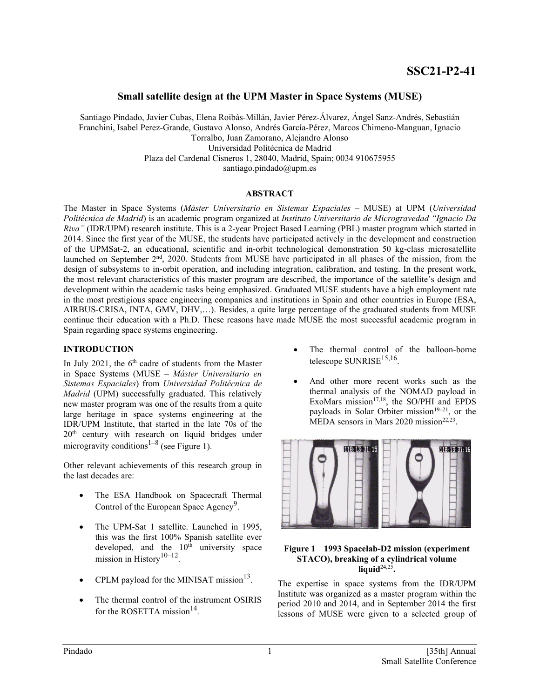# **Small satellite design at the UPM Master in Space Systems (MUSE)**

Santiago Pindado, Javier Cubas, Elena Roibás-Millán, Javier Pérez-Álvarez, Ángel Sanz-Andrés, Sebastián Franchini, Isabel Perez-Grande, Gustavo Alonso, Andrés García-Pérez, Marcos Chimeno-Manguan, Ignacio Torralbo, Juan Zamorano, Alejandro Alonso Universidad Politécnica de Madrid Plaza del Cardenal Cisneros 1, 28040, Madrid, Spain; 0034 910675955 santiago.pindado@upm.es

## **ABSTRACT**

The Master in Space Systems (*Máster Universitario en Sistemas Espaciales* – MUSE) at UPM (*Universidad Politécnica de Madrid*) is an academic program organized at *Instituto Universitario de Microgravedad "Ignacio Da Riva"* (IDR/UPM) research institute. This is a 2-year Project Based Learning (PBL) master program which started in 2014. Since the first year of the MUSE, the students have participated actively in the development and construction of the UPMSat-2, an educational, scientific and in-orbit technological demonstration 50 kg-class microsatellite launched on September 2<sup>nd</sup>, 2020. Students from MUSE have participated in all phases of the mission, from the design of subsystems to in-orbit operation, and including integration, calibration, and testing. In the present work, the most relevant characteristics of this master program are described, the importance of the satellite's design and development within the academic tasks being emphasized. Graduated MUSE students have a high employment rate in the most prestigious space engineering companies and institutions in Spain and other countries in Europe (ESA, AIRBUS-CRISA, INTA, GMV, DHV,…). Besides, a quite large percentage of the graduated students from MUSE continue their education with a Ph.D. These reasons have made MUSE the most successful academic program in Spain regarding space systems engineering.

## **INTRODUCTION**

In July 2021, the  $6<sup>th</sup>$  cadre of students from the Master in Space Systems (MUSE – *Máster Universitario en Sistemas Espaciales*) from *Universidad Politécnica de Madrid* (UPM) successfully graduated. This relatively new master program was one of the results from a quite large heritage in space systems engineering at the IDR/UPM Institute, that started in the late 70s of the 20<sup>th</sup> century with research on liquid bridges under microgravity conditions<sup>1–8</sup> (see Figure 1).

Other relevant achievements of this research group in the last decades are:

- The ESA Handbook on Spacecraft Thermal Control of the European Space Agency<sup>9</sup>.
- The UPM-Sat 1 satellite. Launched in 1995, this was the first 100% Spanish satellite ever developed, and the  $10<sup>th</sup>$  university space mission in History<sup>10–12</sup>.
- CPLM payload for the MINISAT mission $^{13}$ .
- The thermal control of the instrument OSIRIS for the ROSETTA mission<sup>14</sup>.
- The thermal control of the balloon-borne telescope  $SUNRISE<sup>15,16</sup>$ .
- And other more recent works such as the thermal analysis of the NOMAD payload in ExoMars mission<sup>17,18</sup>, the SO/PHI and EPDS payloads in Solar Orbiter mission<sup>19–21</sup>, or the MEDA sensors in Mars 2020 mission<sup>22,23</sup>.



#### **Figure 1 1993 Spacelab-D2 mission (experiment STACO), breaking of a cylindrical volume liquid**24,25**.**

The expertise in space systems from the IDR/UPM Institute was organized as a master program within the period 2010 and 2014, and in September 2014 the first lessons of MUSE were given to a selected group of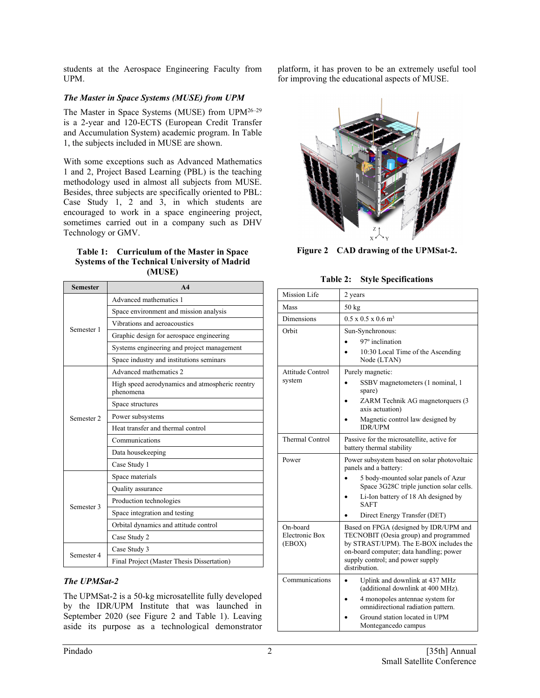students at the Aerospace Engineering Faculty from UPM.

## *The Master in Space Systems (MUSE) from UPM*

The Master in Space Systems (MUSE) from UPM26–29 is a 2-year and 120-ECTS (European Credit Transfer and Accumulation System) academic program. In Table 1, the subjects included in MUSE are shown.

With some exceptions such as Advanced Mathematics 1 and 2, Project Based Learning (PBL) is the teaching methodology used in almost all subjects from MUSE. Besides, three subjects are specifically oriented to PBL: Case Study 1, 2 and 3, in which students are encouraged to work in a space engineering project, sometimes carried out in a company such as DHV Technology or GMV.

#### **Table 1: Curriculum of the Master in Space Systems of the Technical University of Madrid (MUSE)**

| <b>Semester</b> | A <sub>4</sub>                                               |
|-----------------|--------------------------------------------------------------|
| Semester 1      | Advanced mathematics 1                                       |
|                 | Space environment and mission analysis                       |
|                 | Vibrations and aeroacoustics                                 |
|                 | Graphic design for aerospace engineering                     |
|                 | Systems engineering and project management                   |
|                 | Space industry and institutions seminars                     |
| Semester 2      | Advanced mathematics 2                                       |
|                 | High speed aerodynamics and atmospheric reentry<br>phenomena |
|                 | Space structures                                             |
|                 | Power subsystems                                             |
|                 | Heat transfer and thermal control                            |
|                 | Communications                                               |
|                 | Data housekeeping                                            |
|                 | Case Study 1                                                 |
| Semester 3      | Space materials                                              |
|                 | Quality assurance                                            |
|                 | Production technologies                                      |
|                 | Space integration and testing                                |
|                 | Orbital dynamics and attitude control                        |
|                 | Case Study 2                                                 |
| Semester 4      | Case Study 3                                                 |
|                 | Final Project (Master Thesis Dissertation)                   |

## *The UPMSat-2*

The UPMSat-2 is a 50-kg microsatellite fully developed by the IDR/UPM Institute that was launched in September 2020 (see Figure 2 and Table 1). Leaving aside its purpose as a technological demonstrator

platform, it has proven to be an extremely useful tool for improving the educational aspects of MUSE.



**Figure 2 CAD drawing of the UPMSat-2.**

**Table 2: Style Specifications**

| Mission Life                                | 2 years                                                                                                                                                                                                                   |
|---------------------------------------------|---------------------------------------------------------------------------------------------------------------------------------------------------------------------------------------------------------------------------|
| Mass                                        | $50 \text{ kg}$                                                                                                                                                                                                           |
| Dimensions                                  | $0.5 \times 0.5 \times 0.6$ m <sup>3</sup>                                                                                                                                                                                |
| Orbit                                       | Sun-Synchronous:                                                                                                                                                                                                          |
|                                             | 97 <sup>°</sup> inclination                                                                                                                                                                                               |
|                                             | 10:30 Local Time of the Ascending<br>Node (LTAN)                                                                                                                                                                          |
| Attitude Control                            | Purely magnetic:                                                                                                                                                                                                          |
| system                                      | SSBV magnetometers (1 nominal, 1<br>spare)                                                                                                                                                                                |
|                                             | ZARM Technik AG magnetorquers (3<br>axis actuation)                                                                                                                                                                       |
|                                             | Magnetic control law designed by<br><b>IDR/UPM</b>                                                                                                                                                                        |
| <b>Thermal Control</b>                      | Passive for the microsatellite, active for<br>battery thermal stability                                                                                                                                                   |
| Power                                       | Power subsystem based on solar photovoltaic<br>panels and a battery:                                                                                                                                                      |
|                                             | 5 body-mounted solar panels of Azur<br>Space 3G28C triple junction solar cells.                                                                                                                                           |
|                                             | Li-Ion battery of 18 Ah designed by<br><b>SAFT</b>                                                                                                                                                                        |
|                                             | Direct Energy Transfer (DET)                                                                                                                                                                                              |
| On-board<br><b>Electronic Box</b><br>(EBOX) | Based on FPGA (designed by IDR/UPM and<br>TECNOBIT (Oesia group) and programmed<br>by STRAST/UPM). The E-BOX includes the<br>on-board computer; data handling; power<br>supply control; and power supply<br>distribution. |
| Communications                              | Uplink and downlink at 437 MHz<br>(additional downlink at 400 MHz).                                                                                                                                                       |
|                                             | 4 monopoles antennae system for<br>omnidirectional radiation pattern.                                                                                                                                                     |
|                                             | Ground station located in UPM<br>Montegancedo campus                                                                                                                                                                      |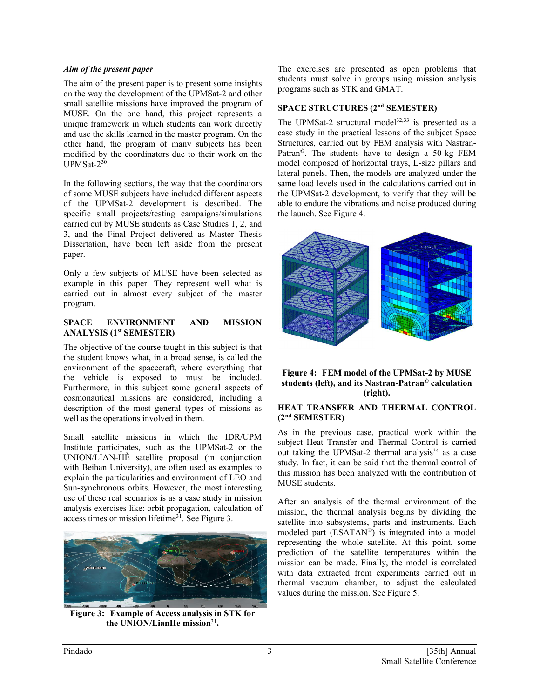### *Aim of the present paper*

The aim of the present paper is to present some insights on the way the development of the UPMSat-2 and other small satellite missions have improved the program of MUSE. On the one hand, this project represents a unique framework in which students can work directly and use the skills learned in the master program. On the other hand, the program of many subjects has been modified by the coordinators due to their work on the UPMSat-2<sup>30</sup>.

In the following sections, the way that the coordinators of some MUSE subjects have included different aspects of the UPMSat-2 development is described. The specific small projects/testing campaigns/simulations carried out by MUSE students as Case Studies 1, 2, and 3, and the Final Project delivered as Master Thesis Dissertation, have been left aside from the present paper.

Only a few subjects of MUSE have been selected as example in this paper. They represent well what is carried out in almost every subject of the master program.

#### **SPACE ENVIRONMENT AND MISSION ANALYSIS (1st SEMESTER)**

The objective of the course taught in this subject is that the student knows what, in a broad sense, is called the environment of the spacecraft, where everything that the vehicle is exposed to must be included. Furthermore, in this subject some general aspects of cosmonautical missions are considered, including a description of the most general types of missions as well as the operations involved in them.

Small satellite missions in which the IDR/UPM Institute participates, such as the UPMSat-2 or the UNION/LIAN-HÈ satellite proposal (in conjunction with Beihan University), are often used as examples to explain the particularities and environment of LEO and Sun-synchronous orbits. However, the most interesting use of these real scenarios is as a case study in mission analysis exercises like: orbit propagation, calculation of access times or mission lifetime<sup>31</sup>. See Figure 3.



**Figure 3: Example of Access analysis in STK for the UNION/LianHe mission**<sup>31</sup>**.**

The exercises are presented as open problems that students must solve in groups using mission analysis programs such as STK and GMAT.

# **SPACE STRUCTURES (2nd SEMESTER)**

The UPMSat-2 structural model<sup>32,33</sup> is presented as a case study in the practical lessons of the subject Space Structures, carried out by FEM analysis with Nastran-Patran©. The students have to design a 50-kg FEM model composed of horizontal trays, L-size pillars and lateral panels. Then, the models are analyzed under the same load levels used in the calculations carried out in the UPMSat-2 development, to verify that they will be able to endure the vibrations and noise produced during the launch. See Figure 4.





## **HEAT TRANSFER AND THERMAL CONTROL (2nd SEMESTER)**

As in the previous case, practical work within the subject Heat Transfer and Thermal Control is carried out taking the UPMSat-2 thermal analysis $34$  as a case study. In fact, it can be said that the thermal control of this mission has been analyzed with the contribution of MUSE students.

After an analysis of the thermal environment of the mission, the thermal analysis begins by dividing the satellite into subsystems, parts and instruments. Each modeled part (ESATAN©) is integrated into a model representing the whole satellite. At this point, some prediction of the satellite temperatures within the mission can be made. Finally, the model is correlated with data extracted from experiments carried out in thermal vacuum chamber, to adjust the calculated values during the mission. See Figure 5.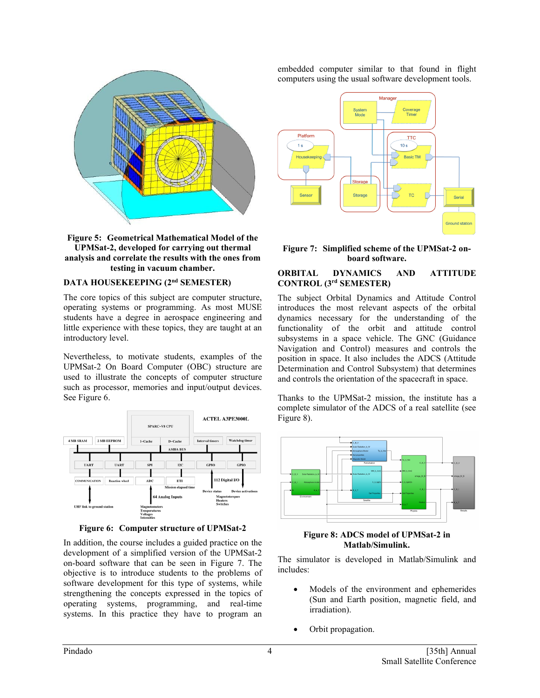



#### **DATA HOUSEKEEPING (2nd SEMESTER)**

The core topics of this subject are computer structure, operating systems or programming. As most MUSE students have a degree in aerospace engineering and little experience with these topics, they are taught at an introductory level.

Nevertheless, to motivate students, examples of the UPMSat-2 On Board Computer (OBC) structure are used to illustrate the concepts of computer structure such as processor, memories and input/output devices. See Figure 6.



**Figure 6: Computer structure of UPMSat-2**

In addition, the course includes a guided practice on the development of a simplified version of the UPMSat-2 on-board software that can be seen in Figure 7. The objective is to introduce students to the problems of software development for this type of systems, while strengthening the concepts expressed in the topics of operating systems, programming, and real-time systems. In this practice they have to program an

embedded computer similar to that found in flight computers using the usual software development tools.



#### **Figure 7: Simplified scheme of the UPMSat-2 onboard software.**

## **ORBITAL DYNAMICS AND ATTITUDE CONTROL (3rd SEMESTER)**

The subject Orbital Dynamics and Attitude Control introduces the most relevant aspects of the orbital dynamics necessary for the understanding of the functionality of the orbit and attitude control subsystems in a space vehicle. The GNC (Guidance Navigation and Control) measures and controls the position in space. It also includes the ADCS (Attitude Determination and Control Subsystem) that determines and controls the orientation of the spacecraft in space.

Thanks to the UPMSat-2 mission, the institute has a complete simulator of the ADCS of a real satellite (see Figure 8).



#### **Figure 8: ADCS model of UPMSat-2 in Matlab/Simulink.**

The simulator is developed in Matlab/Simulink and includes:

- Models of the environment and ephemerides (Sun and Earth position, magnetic field, and irradiation).
- Orbit propagation.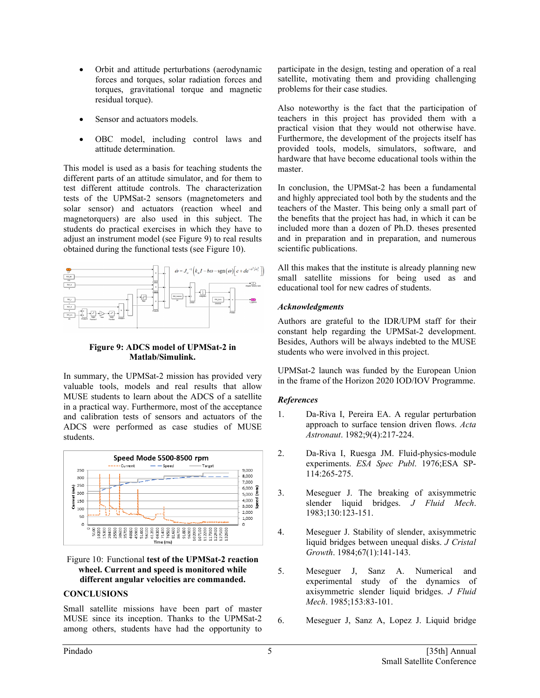- Orbit and attitude perturbations (aerodynamic forces and torques, solar radiation forces and torques, gravitational torque and magnetic residual torque).
- Sensor and actuators models.
- OBC model, including control laws and attitude determination.

This model is used as a basis for teaching students the different parts of an attitude simulator, and for them to test different attitude controls. The characterization tests of the UPMSat-2 sensors (magnetometers and solar sensor) and actuators (reaction wheel and magnetorquers) are also used in this subject. The students do practical exercises in which they have to adjust an instrument model (see Figure 9) to real results obtained during the functional tests (see Figure 10).



## **Figure 9: ADCS model of UPMSat-2 in Matlab/Simulink.**

In summary, the UPMSat-2 mission has provided very valuable tools, models and real results that allow MUSE students to learn about the ADCS of a satellite in a practical way. Furthermore, most of the acceptance and calibration tests of sensors and actuators of the ADCS were performed as case studies of MUSE students.



Figure 10: Functional **test of the UPMSat-2 reaction wheel. Current and speed is monitored while different angular velocities are commanded.**

# **CONCLUSIONS**

Small satellite missions have been part of master MUSE since its inception. Thanks to the UPMSat-2 among others, students have had the opportunity to

participate in the design, testing and operation of a real satellite, motivating them and providing challenging problems for their case studies.

Also noteworthy is the fact that the participation of teachers in this project has provided them with a practical vision that they would not otherwise have. Furthermore, the development of the projects itself has provided tools, models, simulators, software, and hardware that have become educational tools within the master.

In conclusion, the UPMSat-2 has been a fundamental and highly appreciated tool both by the students and the teachers of the Master. This being only a small part of the benefits that the project has had, in which it can be included more than a dozen of Ph.D. theses presented and in preparation and in preparation, and numerous scientific publications.

All this makes that the institute is already planning new small satellite missions for being used as and educational tool for new cadres of students.

# *Acknowledgments*

Authors are grateful to the IDR/UPM staff for their constant help regarding the UPMSat-2 development. Besides, Authors will be always indebted to the MUSE students who were involved in this project.

UPMSat-2 launch was funded by the European Union in the frame of the Horizon 2020 IOD/IOV Programme.

## *References*

- 1. Da-Riva I, Pereira EA. A regular perturbation approach to surface tension driven flows. *Acta Astronaut*. 1982;9(4):217-224.
- 2. Da-Riva I, Ruesga JM. Fluid-physics-module experiments. *ESA Spec Publ*. 1976;ESA SP-114:265-275.
- 3. Meseguer J. The breaking of axisymmetric slender liquid bridges. *J Fluid Mech*. 1983;130:123-151.
- 4. Meseguer J. Stability of slender, axisymmetric liquid bridges between unequal disks. *J Cristal Growth*. 1984;67(1):141-143.
- 5. Meseguer J, Sanz A. Numerical and experimental study of the dynamics of axisymmetric slender liquid bridges. *J Fluid Mech*. 1985;153:83-101.
- 6. Meseguer J, Sanz A, Lopez J. Liquid bridge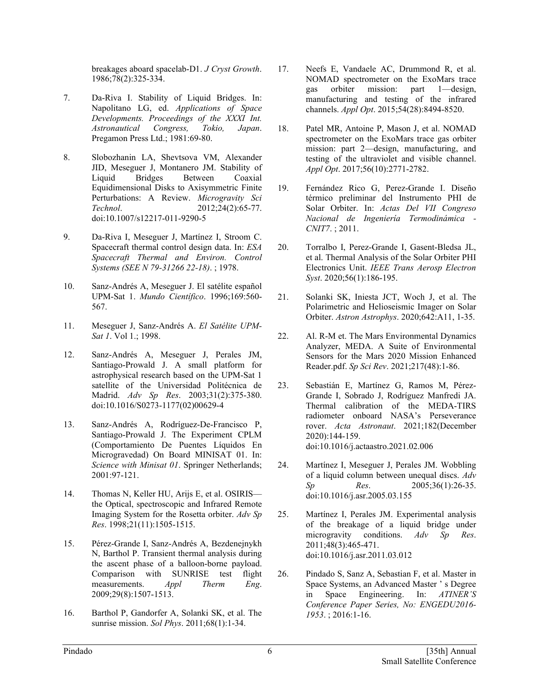breakages aboard spacelab-D1. *J Cryst Growth*. 1986;78(2):325-334.

- 7. Da-Riva I. Stability of Liquid Bridges. In: Napolitano LG, ed. *Applications of Space Developments. Proceedings of the XXXI Int. Astronautical Congress, Tokio, Japan*. Pregamon Press Ltd.; 1981:69-80.
- 8. Slobozhanin LA, Shevtsova VM, Alexander JID, Meseguer J, Montanero JM. Stability of Liquid Bridges Between Coaxial Equidimensional Disks to Axisymmetric Finite Perturbations: A Review. *Microgravity Sci Technol*. 2012;24(2):65-77. doi:10.1007/s12217-011-9290-5
- 9. Da-Riva I, Meseguer J, Martínez I, Stroom C. Spacecraft thermal control design data. In: *ESA Spacecraft Thermal and Environ. Control Systems (SEE N 79-31266 22-18)*. ; 1978.
- 10. Sanz-Andrés A, Meseguer J. El satélite español UPM-Sat 1. *Mundo Científico*. 1996;169:560- 567.
- 11. Meseguer J, Sanz-Andrés A. *El Satélite UPM-Sat 1*. Vol 1.; 1998.
- 12. Sanz-Andrés A, Meseguer J, Perales JM, Santiago-Prowald J. A small platform for astrophysical research based on the UPM-Sat 1 satellite of the Universidad Politécnica de Madrid. *Adv Sp Res*. 2003;31(2):375-380. doi:10.1016/S0273-1177(02)00629-4
- 13. Sanz-Andrés A, Rodríguez-De-Francisco P, Santiago-Prowald J. The Experiment CPLM (Comportamiento De Puentes Líquidos En Microgravedad) On Board MINISAT 01. In: *Science with Minisat 01*. Springer Netherlands; 2001:97-121.
- 14. Thomas N, Keller HU, Arijs E, et al. OSIRIS the Optical, spectroscopic and Infrared Remote Imaging System for the Rosetta orbiter. *Adv Sp Res*. 1998;21(11):1505-1515.
- 15. Pérez-Grande I, Sanz-Andrés A, Bezdenejnykh N, Barthol P. Transient thermal analysis during the ascent phase of a balloon-borne payload. Comparison with SUNRISE test flight measurements. *Appl Therm Eng*. 2009;29(8):1507-1513.
- 16. Barthol P, Gandorfer A, Solanki SK, et al. The sunrise mission. *Sol Phys*. 2011;68(1):1-34.
- 17. Neefs E, Vandaele AC, Drummond R, et al. NOMAD spectrometer on the ExoMars trace<br>gas orbiter mission: part 1—design. orbiter mission: part 1—design, manufacturing and testing of the infrared channels. *Appl Opt*. 2015;54(28):8494-8520.
- 18. Patel MR, Antoine P, Mason J, et al. NOMAD spectrometer on the ExoMars trace gas orbiter mission: part 2—design, manufacturing, and testing of the ultraviolet and visible channel. *Appl Opt*. 2017;56(10):2771-2782.
- 19. Fernández Rico G, Perez-Grande I. Diseño térmico preliminar del Instrumento PHI de Solar Orbiter. In: *Actas Del VII Congreso Nacional de Ingeniería Termodinámica - CNIT7*. ; 2011.
- 20. Torralbo I, Perez-Grande I, Gasent-Bledsa JL, et al. Thermal Analysis of the Solar Orbiter PHI Electronics Unit. *IEEE Trans Aerosp Electron Syst*. 2020;56(1):186-195.
- 21. Solanki SK, Iniesta JCT, Woch J, et al. The Polarimetric and Helioseismic Imager on Solar Orbiter. *Astron Astrophys*. 2020;642:A11, 1-35.
- 22. Al. R-M et. The Mars Environmental Dynamics Analyzer, MEDA. A Suite of Environmental Sensors for the Mars 2020 Mission Enhanced Reader.pdf. *Sp Sci Rev*. 2021;217(48):1-86.
- 23. Sebastián E, Martínez G, Ramos M, Pérez-Grande I, Sobrado J, Rodríguez Manfredi JA. Thermal calibration of the MEDA-TIRS radiometer onboard NASA's Perseverance rover. *Acta Astronaut*. 2021;182(December 2020):144-159. doi:10.1016/j.actaastro.2021.02.006
- 24. Martínez I, Meseguer J, Perales JM. Wobbling of a liquid column between unequal discs. *Adv Sp Res*. 2005;36(1):26-35. doi:10.1016/j.asr.2005.03.155
- 25. Martínez I, Perales JM. Experimental analysis of the breakage of a liquid bridge under microgravity conditions. *Adv Sp Res*. 2011;48(3):465-471. doi:10.1016/j.asr.2011.03.012
- 26. Pindado S, Sanz A, Sebastian F, et al. Master in Space Systems, an Advanced Master ' s Degree in Space Engineering. In: *ATINER'S Conference Paper Series, No: ENGEDU2016- 1953*. ; 2016:1-16.